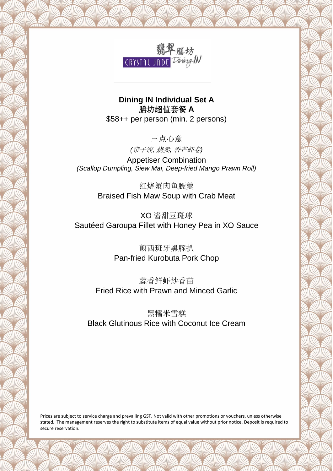

**Dining IN Individual Set A** 膳坊超值套餐 **A** \$58++ per person (min. 2 persons)

三点心意

*(*带子饺*,* 烧卖*,* 香芒虾卷*)*

Appetiser Combination *(Scallop Dumpling, Siew Mai, Deep-fried Mango Prawn Roll)*

> 红烧蟹肉鱼膘羹 Braised Fish Maw Soup with Crab Meat

XO 酱甜豆斑球 Sautéed Garoupa Fillet with Honey Pea in XO Sauce

> 煎西班牙黑豚扒 Pan-fried Kurobuta Pork Chop

蒜香鲜虾炒香苗 Fried Rice with Prawn and Minced Garlic

黑糯米雪糕 Black Glutinous Rice with Coconut Ice Cream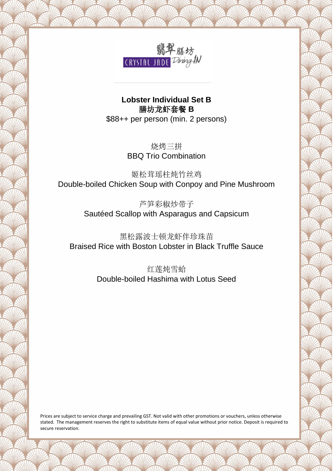

**Lobster Individual Set B** 膳坊龙虾套餐 **B** \$88++ per person (min. 2 persons)

> 烧烤三拼 BBQ Trio Combination

姬松茸瑶柱炖竹丝鸡 Double-boiled Chicken Soup with Conpoy and Pine Mushroom

> 芦笋彩椒炒带子 Sautéed Scallop with Asparagus and Capsicum

黑松露波士顿龙虾伴珍珠苗 Braised Rice with Boston Lobster in Black Truffle Sauce

> 红莲炖雪蛤 Double-boiled Hashima with Lotus Seed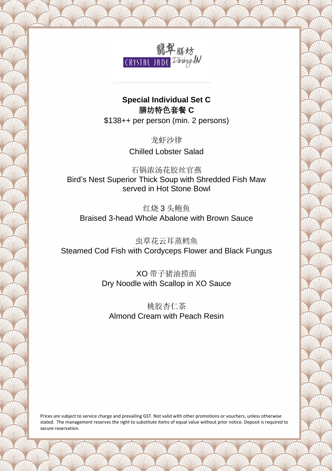

## **Special Individual Set C** 膳坊特色套餐 **C**

\$138++ per person (min. 2 persons)

龙虾沙律 Chilled Lobster Salad

石锅浓汤花胶丝官燕 Bird's Nest Superior Thick Soup with Shredded Fish Maw served in Hot Stone Bowl

红烧 3 头鲍鱼 Braised 3-head Whole Abalone with Brown Sauce

虫草花云耳蒸鳕鱼 Steamed Cod Fish with Cordyceps Flower and Black Fungus

> XO 带子猪油捞面 Dry Noodle with Scallop in XO Sauce

桃胶杏仁茶 Almond Cream with Peach Resin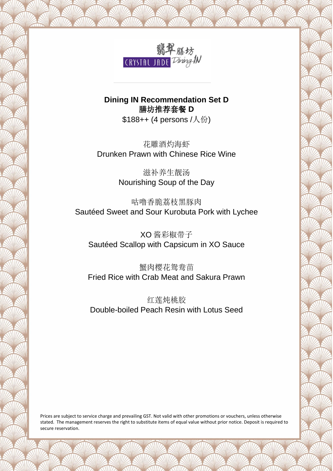

# **Dining IN Recommendation Set D** 膳坊推荐套餐 **D**

\$188++ (4 persons /人份)

花雕酒灼海虾 Drunken Prawn with Chinese Rice Wine

> 滋补养生靓汤 Nourishing Soup of the Day

咕噜香脆荔枝黑豚肉 Sautéed Sweet and Sour Kurobuta Pork with Lychee

XO 酱彩椒带子 Sautéed Scallop with Capsicum in XO Sauce

蟹肉樱花鸳鸯苗 Fried Rice with Crab Meat and Sakura Prawn

红莲炖桃胶 Double-boiled Peach Resin with Lotus Seed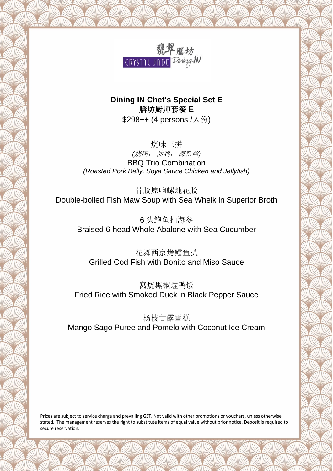

**Dining IN Chef's Special Set E** 膳坊厨师套餐 **E** \$298++ (4 persons /人份)

烧味三拼 *(*烧肉, 油鸡, 海蜇丝*)* BBQ Trio Combination *(Roasted Pork Belly, Soya Sauce Chicken and Jellyfish)*

骨胶原响螺炖花胶 Double-boiled Fish Maw Soup with Sea Whelk in Superior Broth

6 头鲍鱼扣海参 Braised 6-head Whole Abalone with Sea Cucumber

花舞西京烤鳕鱼扒 Grilled Cod Fish with Bonito and Miso Sauce

窝烧黑椒煙鸭饭 Fried Rice with Smoked Duck in Black Pepper Sauce

杨枝甘露雪糕 Mango Sago Puree and Pomelo with Coconut Ice Cream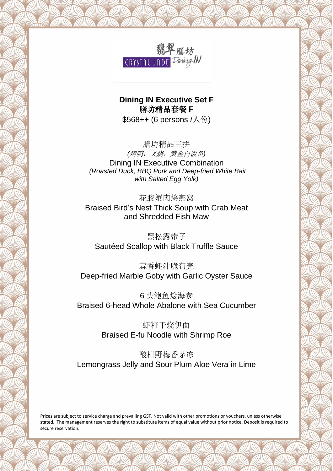

**Dining IN Executive Set F** 膳坊精品套餐 **F** \$568++ (6 persons /人份)

膳坊精品三拼 *(*烤鸭,叉烧,黄金白饭鱼*)* Dining IN Executive Combination *(Roasted Duck, BBQ Pork and Deep-fried White Bait with Salted Egg Yolk)*

花胶蟹肉烩燕窝 Braised Bird's Nest Thick Soup with Crab Meat and Shredded Fish Maw

黑松露带子 Sautéed Scallop with Black Truffle Sauce

蒜香蚝汁脆荀壳 Deep-fried Marble Goby with Garlic Oyster Sauce

6 头鲍鱼烩海参 Braised 6-head Whole Abalone with Sea Cucumber

> 虾籽干烧伊面 Braised E-fu Noodle with Shrimp Roe

酸柑野梅香茅冻 Lemongrass Jelly and Sour Plum Aloe Vera in Lime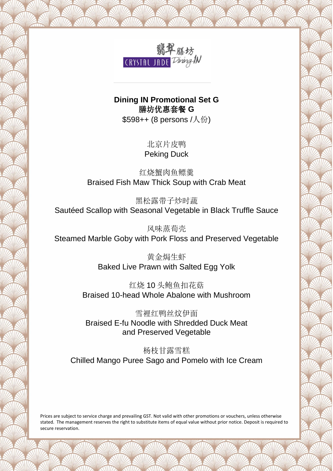

**Dining IN Promotional Set G** 膳坊优惠套餐 **G**

\$598++ (8 persons /人份)

北京片皮鸭 Peking Duck

红烧蟹肉鱼鳔羹 Braised Fish Maw Thick Soup with Crab Meat

黑松露带子炒时蔬 Sautéed Scallop with Seasonal Vegetable in Black Truffle Sauce

风味蒸荀壳 Steamed Marble Goby with Pork Floss and Preserved Vegetable

> 黄金焗生虾 Baked Live Prawn with Salted Egg Yolk

红烧 10 头鲍鱼扣花菇 Braised 10-head Whole Abalone with Mushroom

雪裡红鸭丝炆伊面 Braised E-fu Noodle with Shredded Duck Meat and Preserved Vegetable

杨枝甘露雪糕 Chilled Mango Puree Sago and Pomelo with Ice Cream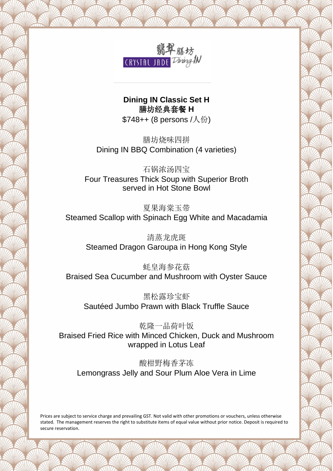

#### **Dining IN Classic Set H**  膳坊经典套餐 **H** \$748++ (8 persons /人份)

膳坊烧味四拼 Dining IN BBQ Combination (4 varieties)

石锅浓汤四宝 Four Treasures Thick Soup with Superior Broth served in Hot Stone Bowl

夏果海棠玉带 Steamed Scallop with Spinach Egg White and Macadamia

清蒸龙虎斑 Steamed Dragon Garoupa in Hong Kong Style

蚝皇海参花菇 Braised Sea Cucumber and Mushroom with Oyster Sauce

黑松露珍宝虾 Sautéed Jumbo Prawn with Black Truffle Sauce

乾隆一品荷叶饭 Braised Fried Rice with Minced Chicken, Duck and Mushroom wrapped in Lotus Leaf

酸柑野梅香茅冻 Lemongrass Jelly and Sour Plum Aloe Vera in Lime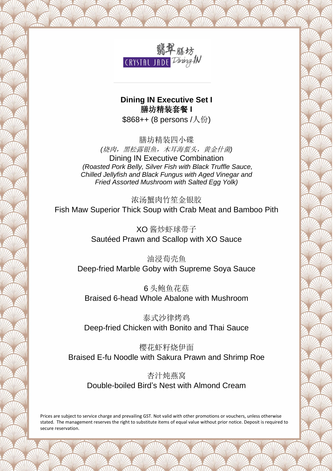

#### **Dining IN Executive Set I** 膳坊精装套餐 **I** \$868++ (8 persons /人份)

膳坊精装四小碟 *(*烧肉,黑松露银鱼,木耳海蜇头,黄金什菌*)* Dining IN Executive Combination *(Roasted Pork Belly, Silver Fish with Black Truffle Sauce, Chilled Jellyfish and Black Fungus with Aged Vinegar and Fried Assorted Mushroom with Salted Egg Yolk)*

浓汤蟹肉竹笙金银胶 Fish Maw Superior Thick Soup with Crab Meat and Bamboo Pith

> XO 酱炒虾球带子 Sautéed Prawn and Scallop with XO Sauce

油浸荀壳鱼 Deep-fried Marble Goby with Supreme Soya Sauce

6 头鲍鱼花菇 Braised 6-head Whole Abalone with Mushroom

泰式沙律烤鸡 Deep-fried Chicken with Bonito and Thai Sauce

樱花虾籽烧伊面 Braised E-fu Noodle with Sakura Prawn and Shrimp Roe

杏汁炖燕窝 Double-boiled Bird's Nest with Almond Cream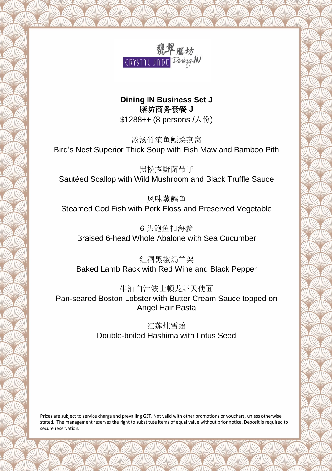

### **Dining IN Business Set J** 膳坊商务套餐 **J** \$1288++ (8 persons /人份)

浓汤竹笙鱼鳔烩燕窝 Bird's Nest Superior Thick Soup with Fish Maw and Bamboo Pith

黑松露野菌带子 Sautéed Scallop with Wild Mushroom and Black Truffle Sauce

风味蒸鳕鱼 Steamed Cod Fish with Pork Floss and Preserved Vegetable

6 头鲍鱼扣海参 Braised 6-head Whole Abalone with Sea Cucumber

红酒黑椒焗羊架 Baked Lamb Rack with Red Wine and Black Pepper

牛油白汁波士顿龙虾天使面

Pan-seared Boston Lobster with Butter Cream Sauce topped on Angel Hair Pasta

> 红莲炖雪蛤 Double-boiled Hashima with Lotus Seed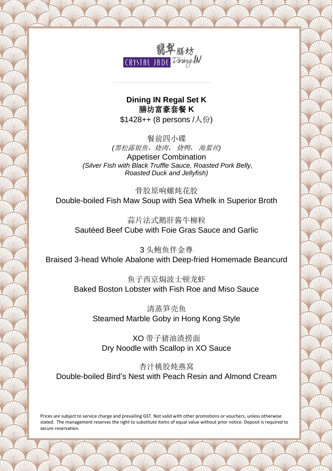

**Dining IN Regal Set K** 膳坊富豪套餐 **K**  $$1428++$  (8 persons /  $\mathcal{A}$   $\oplus$  )

餐前四小碟 *(*黑松露银鱼,烧肉, 烧鸭, 海蜇丝*)* Appetiser Combination *(Silver Fish with Black Truffle Sauce, Roasted Pork Belly, Roasted Duck and Jellyfish)*

骨胶原响螺炖花胶 Double-boiled Fish Maw Soup with Sea Whelk in Superior Broth

蒜片法式鹅肝酱牛柳粒 Sautéed Beef Cube with Foie Gras Sauce and Garlic

3 头鲍鱼伴金尊 Braised 3-head Whole Abalone with Deep-fried Homemade Beancurd

> 鱼子西京焗波士顿龙虾 Baked Boston Lobster with Fish Roe and Miso Sauce

清蒸笋壳鱼 Steamed Marble Goby in Hong Kong Style

XO 带子猪油渣捞面 Dry Noodle with Scallop in XO Sauce

杏汁桃胶炖燕窝 Double-boiled Bird's Nest with Peach Resin and Almond Cream